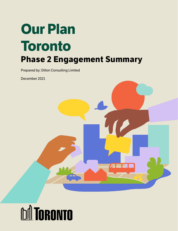# **Our Plan Toronto Phase 2 Engagement Summary**

Prepared by: Dillon Consulting Limited

December 2021



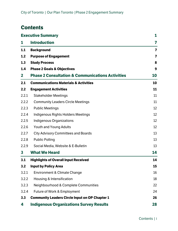# **Contents**

|              | <b>Executive Summary</b>                                    | 1                       |
|--------------|-------------------------------------------------------------|-------------------------|
| 1            | <b>Introduction</b>                                         | 7                       |
| 1.1          | <b>Background</b>                                           | $\overline{\mathbf{z}}$ |
| 1.2          | <b>Purpose of Engagement</b>                                | $\overline{\mathbf{z}}$ |
| 1.3          | <b>Study Process</b>                                        | 8                       |
| 1.4          | <b>Phase 2 Goals &amp; Objectives</b>                       | 9                       |
| $\mathbf{2}$ | <b>Phase 2 Consultation &amp; Communications Activities</b> | 10                      |
| 2.1          | <b>Communications Materials &amp; Activities</b>            | 10                      |
| 2.2          | <b>Engagement Activities</b>                                | 11                      |
| 2.2.1        | <b>Stakeholder Meetings</b>                                 | 11                      |
| 2.2.2        | <b>Community Leaders Circle Meetings</b>                    | 11                      |
| 2.2.3        | <b>Public Meetings</b>                                      | 12                      |
| 2.2.4        | Indigenous Rights Holders Meetings                          | 12                      |
| 2.2.5        | Indigenous Organizations                                    | 12                      |
| 2.2.6        | Youth and Young Adults                                      | 12                      |
| 2.2.7        | <b>City Advisory Committees and Boards</b>                  | 13                      |
| 2.2.8        | <b>Public Polling</b>                                       | 13                      |
| 2.2.9        | Social Media, Website & E-Bulletin                          | 13                      |
| 3            | <b>What We Heard</b>                                        | 14                      |
| 3.1          | <b>Highlights of Overall Input Received</b>                 | 14                      |
| 3.2          | <b>Input by Policy Area</b>                                 | 15                      |
| 3.2.1        | <b>Environment &amp; Climate Change</b>                     | 16                      |
| 3.2.2        | Housing & Intensification                                   | 18                      |
| 3.2.3        | Neighbourhood & Complete Communities                        | 22                      |
| 3.2.4        | Future of Work & Employment                                 | 24                      |
| 3.3          | <b>Community Leaders Circle Input on OP Chapter 1</b>       | 26                      |
| 4            | <b>Indigenous Organizations Survey Results</b>              | 28                      |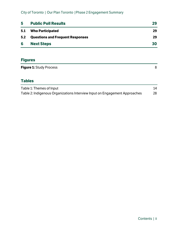| 5   | <b>Public Poll Results</b>              | 29 |
|-----|-----------------------------------------|----|
| 5.1 | <b>Who Participated</b>                 | 29 |
| 5.2 | <b>Questions and Frequent Responses</b> | 29 |
| 6   | <b>Next Steps</b>                       | 30 |

# **Figures**

| <b>Figure 1:</b> Study Process |  |
|--------------------------------|--|
|                                |  |

# **Tables**

| Table 1: Themes of Input                                                   | 14 |
|----------------------------------------------------------------------------|----|
| Table 2: Indigenous Organizations Interview Input on Engagement Approaches | 28 |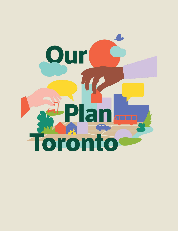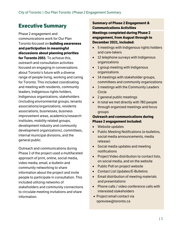# <span id="page-4-0"></span>**Executive Summary**

Phase 2 engagement and communications work for Our Plan Toronto focused on **building awareness and participation in meaningful discussions about planning priorities for Toronto 2051**. To achieve this, outreach and consultation activities focused on engaging in conversations about Toronto's future with a diverse range of people living, working and caring for Toronto. This included coordinating and meeting with residents, community leaders, Indigenous rights holders, Indigenous organizations, stakeholders (including environmental groups, tenants associations/organizations, residents associations, businesses, business improvement areas, academics/research institutes, mobility related groups, development industry and community development organizations), committees, internal municipal divisions, and the general public.

Outreach and communications during Phase 2 of the project used a multifaceted approach of print, online, social media, video media, email, e-bulletin and community networking to share information about the project and invite people to participate in consultation. This included utilizing networks of stakeholders and community connections to circulate meeting invitations and share information.

**Summary of Phase 2 Engagement & Communications Activities Meetings completed during Phase 2 engagement, from August through to December 2021, included:**

- 5 meetings with Indigenous rights holders and care-takers
- 12 telephone surveys with Indigenous organizations
- 1 group meeting with Indigenous organizations
- 14 meetings with stakeholder groups, committees and community organizations
- 3 meetings with the Community Leaders Circle
- 2 general public meetings
- In total we met directly with 780 people through organized meetings and focus groups

#### **Outreach and communications during Phase 2 engagement included:**

- Website updates
- Public Meeting Notifications (e-bulletins, social media announcements, media release)
- Social media updates and meeting notifications
- Project Video distribution to contact lists, on social media, and on the website
- Public Poll on project website
- Contact List Updates/E-Bulletins
- Email distribution of meeting materials and presentations
- Phone calls / video conference calls with interested stakeholders
- Project email contact via opreview@toronto.ca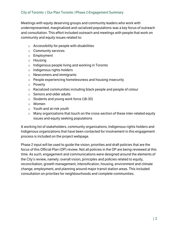Meetings with equity deserving groups and community leaders who work with underrepresented, marginalized and racialized populations was a key focus of outreach and consultation. This effort included outreach and meetings with people that work on community and equity issues related to:

- $\circ$  Accessibility for people with disabilities
- o Community services
- o Employment
- o Housing
- o Indigenous people living and working in Toronto
- o Indigenous rights holders
- o Newcomers and immigrants
- o People experiencing homelessness and housing insecurity
- o Poverty
- o Racialized communities including black people and people of colour
- o Seniors and older adults
- o Students and young work force (18-30)
- o Women
- o Youth and at-risk youth
- o Many organizations that touch on the cross-section of these inter-related equity issues and equity seeking populations

A working list of stakeholders, community organizations, Indigenous rights holders and Indigenous organizations that have been contacted for involvement in this engagement process is included on the project webpage.

Phase 2 input will be used to guide the vision, priorities and draft policies that are the focus of this Official Plan (OP) review. Not all policies in the OP are being reviewed at this time. As such, engagement and communications were designed around the elements of the City's review, namely: overall vision, principles and policies related to equity, reconciliation, growth management, intensification, housing, environment and climate change, employment, and planning around major transit station areas. This included consultation on priorities for neighbourhoods and complete communities.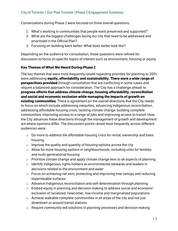Conversations during Phase 2 were focused on three overall questions:

- 1. What's working in communities that people want preserved and supported?
- 2. What are the biggest challenges facing our city that need to be addressed and prioritized in the Official Plan?
- 3. Focusing on building back better: What does better look like?

Depending on the audience for consultation, these questions were refined for discussion to focus on specific topics of interest such as environment, housing or equity.

#### **Key Themes of What We Heard During Phase 2**

The key themes that were most frequently raised regarding priorities for planning to 2051 were addressing **equity, affordability and sustainability. There were a wide range of perspectives provided** through consultation that are conflicting in some cases and require a balanced approach for consideration. The City has a challenge ahead: to **progress efforts that address climate change, housing affordability, reconciliation and social and economic exclusion while managing the impacts of growth on existing communities**. There is agreement on the overall directions that the City needs to focus on which include addressing inequities, advancing Indigenous reconciliation, addressing affordable housing crisis, tackling climate change, building complete communities, improving access to a range of jobs and improving access to transit. How the City advances these directions through the management of growth and development are where opinions differ. The discussion points raised most frequently across different audiences were:

- $\circ$  Do more to address the affordable housing crisis for rental, ownership and basic housing
- $\circ$  Improve the quality and quantity of housing options across the city
- $\circ$  Allow for more housing options in neighbourhoods, including units for families and multi-generational housing
- $\circ$  Prioritize climate change and apply climate change lens to all aspects of planning
- o Identify Indigenous rights holders as environmental stewards and leaders in decisions related to the environment and water
- o Focus on achieving net zero, protecting and improving tree canopy and reducing impermeable surfaces
- o Advance Indigenous reconciliation and self-determination through planning
- o Embed equity in planning and decision making to address social and economic exclusion of racialized, newcomer, low-income and marginalized populations
- $\circ$  Achieve walkable complete communities in all areas of the city and not just downtown or around transit stations
- o Require community-led solutions in planning processes and decision making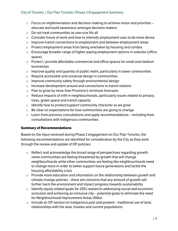- $\circ$  Focus on implementation and decision making to achieve vision and priorities educate and build awareness amongst decision makers
- o Do not treat communities as one-size fits all
- o Consider future of work and how to intensify employment uses to be more dense
- $\circ$  Improve transit connections to employment and between employment areas
- o Protect employment areas from being overtaken by housing and condos
- $\circ$  Encourage broader range of higher paying employment options in suburbs (office space)
- o Protect / provide affordable commercial and office spaces for small and medium businesses
- $\circ$  Improve quality and quantity of public realm, particularly in tower communities
- o Require accessible and universal design in communities
- $\circ$  Improve community safety through environmental design
- o Increase development around and connections to transit stations
- $\circ$  Plan to grow by more than Province's minimum forecasts
- o Reduce impacts of infill in neighbourhoods, particularly issues related to privacy, trees, green space and transit capacity
- $\circ$  Identify how to protect/support community character as we grow
- $\circ$  Be clear on expectations for how communities are going to change
- $\circ$  Learn from previous consultations and apply recommendations including from consultations with Indigenous communities

#### **Summary of Recommendations**

Based on the input received during Phase 2 engagement on Our Plan Toronto, the following recommendations are identified for consideration by the City as they work through the review and update of OP policies:

- o Reflect and acknowledge the broad range of perspectives regarding growth: some communities are feeling threatened by growth that will change neighbourhoods while other communities are feeling like neighbourhoods need to change more in order to better support future generations and tackle the housing affordability crisis
- $\circ$  Provide more education and information on the relationship between growth and climate change policies – there are concerns that any amount of growth will further harm the environment and impact progress towards sustainability
- $\circ$  Identify equity related goals for 2051 related to addressing social and economic exclusion and achieving an inclusive city  $-$  potential goals to eliminate the need for Neighbourhood Improvement Areas (NIAs)
- $\circ$  Include an OP section on Indigenous past and present traditional use of land, relationships with the area, treaties and current populations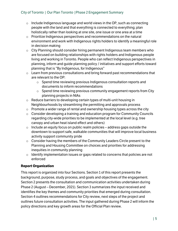- $\circ$  Include Indigenous language and world views in the OP, such as connecting people with the land and that everything is connected to everything; plan holistically rather than looking at one site, one issue or one area at a time
- o Prioritize Indigenous perspectives and recommendations on the natural environment and work with Indigenous rights holders to identify a meaningful role in decision making
- o City Planning should consider hiring permanent Indigenous team members who are focused on building relationships with rights holders and Indigenous people living and working in Toronto. People who can reflect Indigenous perspectives in planning, inform and guide planning policy / initiatives and support efforts toward planning that is "By Indigenous, for Indigenous"
- $\circ$  Learn from previous consultations and bring forward past recommendations that are relevant to the OP:
	- o Spend time reviewing previous Indigenous consultation reports and documents to inform recommendations
	- o Spend time reviewing previous community engagement reports from City planning projects in NIAs
- o Reduce barriers to developing certain types of multi-unit housing in Neighbourhoods by streamlining the permitting and approvals process
- $\circ$  Promote a wider range of rental and ownership housing types across the city
- $\circ$  Consider developing a training and education program for Community Councils regarding city-wide priorities to be implemented at the local level (e.g. tree canopy and urban heat island effect and others)
- $\circ$  Include an equity focus on public realm policies address gaps outside the downtown to support safe, walkable communities that will improve local business activity support community pride
- $\circ$  Consider having the members of the Community Leaders Circle present to the Planning and Housing Committee on choices and priorities for addressing inequities in community planning
- $\circ$  Identify implementation issues or gaps related to concerns that policies are not enforced

#### **Report Organization**

This report is organized into four Sections. Section 1 of this report presents the background, purpose, study process, and goals and objectives of the engagement. Section 2 presents the consultation and communication activities undertaken during Phase 2 (August – December, 2021). Section 3 summarizes the input received and identifies the key themes and community priorities that emerged during consultation. Section 4 outlines recommendations for City review, next steps of the project and outlines future consultation activities. The input gathered during Phase 2 will inform the policy directions and key growth areas for the Official Plan review.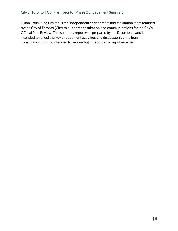Dillon Consulting Limited is the independent engagement and facilitation team retained by the City of Toronto (City) to support consultation and communications for the City's Official Plan Review. This summary report was prepared by the Dillon team and is intended to reflect the key engagement activities and discussion points from consultation. It is not intended to be a verbatim record of all input received.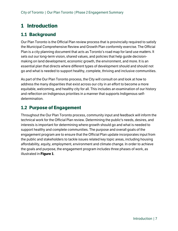# <span id="page-10-0"></span>**1 Introduction**

# <span id="page-10-1"></span>**1.1 Background**

Our Plan Toronto is the Official Plan review process that is provincially required to satisfy the Municipal Comprehensive Review and Growth Plan conformity exercise. The Official Plan is a city planning document that acts as Toronto's road map for land use matters. It sets out our long-term vision, shared values, and policies that help guide decisionmaking on land development, economic growth, the environment, and more. It is an essential plan that directs where different types of development should and should not go and what is needed to support healthy, complete, thriving and inclusive communities.

As part of the Our Plan Toronto process, the City will consult on and look at how to address the many disparities that exist across our city in an effort to become a more equitable, welcoming, and healthy city for all. This includes an examination of our history and reflection on Indigenous priorities in a manner that supports Indigenous selfdetermination.

# <span id="page-10-2"></span>**1.2 Purpose of Engagement**

Throughout the Our Plan Toronto process, community input and feedback will inform the technical work for the Official Plan review. Determining the public's needs, desires, and interests is important for determining where growth should go and what is needed to support healthy and complete communities. The purpose and overall goals of the engagement program are to ensure that the Official Plan update incorporates input from the public and stakeholders to tackle issues related key topic areas, including housing affordability, equity, employment, environment and climate change. In order to achieve the goals and purpose, the engagement program includes three phases of work, as illustrated in **Figure 1**.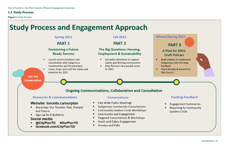# <span id="page-11-0"></span>**1.3 Study Process**

<span id="page-11-1"></span>**Figure 1: Study Process** 



# **Winter/Spring 2022 PART 3 A Plan for 2051: Draft Policies** Draft policies to implement Indigenous and City-wide Share broadly & present to

# **Tracking Feedback**

**Engagement Summaries Reporting to Community** Leaders Circle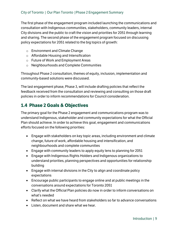The first phase of the engagement program included launching the communications and consultation with Indigenous communities, stakeholders, community leaders, internal City divisions and the public to craft the vision and priorities for 2051 through learning and sharing. The second phase of the engagement program focused on discussing policy expectations for 2051 related to the big topics of growth:

- o Environment and Climate Change
- o Affordable Housing and Intensification
- o Future of Work and Employment Areas
- o Neighbourhoods and Complete Communities

Throughout Phase 2 consultation, themes of equity, inclusion, implementation and community-based solutions were discussed.

The last engagement phase, Phase 3, will include drafting policies that reflect the feedback received from the consultation and reviewing and consulting on those draft policies in order to inform recommendations for Council consideration.

# <span id="page-12-0"></span>**1.4 Phase 2 Goals & Objectives**

The primary goal for the Phase 2 engagement and communications program was to understand Indigenous, stakeholder and community expectations for what the Official Plan should achieve. In order to achieve this goal, engagement and communications efforts focused on the following priorities:

- Engage with stakeholders on key topic areas, including environment and climate change, future of work, affordable housing and intensification, and neighbourhoods and complete communities
- Engage with community leaders to apply equity lens to planning for 2051
- Engage with Indigenous Rights Holders and Indigenous organizations to understand priorities, planning perspectives and opportunities for relationship building
- Engage with internal divisions in the City to align and coordinate policy expectations
- Encourage public participants to engage online and at public meetings in the conversations around expectations for Toronto 2051
- Clarify what the Official Plan policies do now in order to inform conversations on what's needed
- Reflect on what we have heard from stakeholders so far to advance conversations
- Listen, document and share what we hear.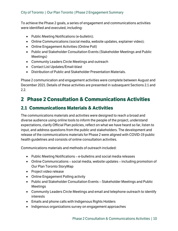To achieve the Phase 2 goals, a series of engagement and communications activities were identified and executed, including:

- Public Meeting Notifications (e-bulletin);
- Online Communications (social media, website updates, explainer video);
- Online Engagement Activities (Online Poll)
- Public and Stakeholder Consultation Events (Stakeholder Meetings and Public Meetings)
- Community Leaders Circle Meetings and outreach
- Contact List Updates/Email-blast
- Distribution of Public and Stakeholder Presentation Materials.

Phase 2 communication and engagement activities were complete between August and December 2021. Details of these activities are presented in subsequent Sections 2.1 and 2.2.

# <span id="page-13-0"></span>**2 Phase 2 Consultation & Communications Activities**

# <span id="page-13-1"></span>**2.1 Communications Materials & Activities**

The communications materials and activities were designed to reach a broad and diverse audience using online tools to inform the people of the project, understand expectations, clarify Official Plan policies, reflect on what we have heard so far, listen to input, and address questions from the public and stakeholders. The development and release of the communications materials for Phase 2 were aligned with COVID-19 public health guidelines and consists of online consultation activities.

Communications materials and methods of outreach included:

- Public Meeting Notifications e-bulletins and social media releases
- Online Communications social media, website updates including promotion of Our Plan Toronto StoryMap
- Project video release
- Online Engagement Polling activity
- Public and Stakeholder Consultation Events Stakeholder Meetings and Public Meetings
- Community Leaders Circle Meetings and email and telephone outreach to identify interests
- Emails and phone calls with Indigenous Rights Holders
- Indigenous organizations survey on engagement approaches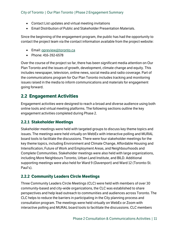- Contact List updates and virtual meeting invitations
- Email Distribution of Public and Stakeholder Presentation Materials.

Since the beginning of the engagement program, the public has had the opportunity to contact the project team via the contact information available from the project website:

- Email[: opreview@toronto.ca](mailto:opreview@toronto.ca)
- Phone: 416-392-6578

Over the course of the project so far, there has been significant media attention on Our Plan Toronto and the issues of growth, development, climate change and equity. This includes newspaper, television, online news, social media and radio coverage. Part of the communications program for Our Plan Toronto includes tracking and monitoring issues raised in the media to inform communications and materials for engagement going forward.

# <span id="page-14-0"></span>**2.2 Engagement Activities**

Engagement activities were designed to reach a broad and diverse audience using both online tools and virtual meeting platforms. The following sections outline the key engagement activities completed during Phase 2.

## <span id="page-14-1"></span>**2.2.1 Stakeholder Meetings**

Stakeholder meetings were held with targeted groups to discuss key theme topics and issues. The meetings were held virtually on WebEx with interactive polling and MURAL board tools to facilitate the discussions. There were four stakeholder meetings for the key theme topics, including Environment and Climate Change, Affordable Housing and Intensification, Future of Work and Employment Areas, and Neighbourhoods and Complete Communities. Stakeholder meetings were also held with large organizations, including More Neighbours Toronto, Urban Land Institute, and BILD. Additional supporting meetings were also held for Ward 9 (Davenport) and Ward 12 (Toronto-St. Paul's).

## <span id="page-14-2"></span>**2.2.2 Community Leaders Circle Meetings**

Three Community Leaders Circle Meetings (CLC) were held with members of over 30 community-based and city-wide organizations, the CLC was established to share perspectives and help lead outreach to communities and audiences across Toronto. The CLC helps to reduce the barriers in participating in the City planning process and consultation program. The meetings were held virtually on WebEx or Zoom with interactive polling and MURAL board tools to facilitate the discussions. CLC members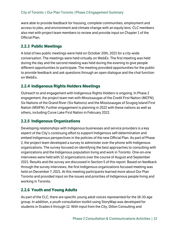were able to provide feedback for housing, complete communities, employment and access to jobs, and environment and climate change with an equity lens. CLC members also met with project team members to review and provide input on Chapter 1 of the Official Plan.

## <span id="page-15-0"></span>**2.2.3 Public Meetings**

A total of two public meetings were held on October 20th, 2021 for a city-wide conversation. The meetings were held virtually on WebEx. The first meeting was held during the day and the second meeting was held during the evening to give people different opportunities to participate. The meeting provided opportunities for the public to provide feedback and ask questions through an open dialogue and the chat function on WebEx.

## <span id="page-15-1"></span>**2.2.4 Indigenous Rights Holders Meetings**

Outreach to and engagement with Indigenous Rights Holders is ongoing. In Phase 2 engagement, the project team met with Mississaugas of the Credit First Nation (MCFN), Six Nations of the Grand River (Six Nations) and the Mississaugas of Scugog Island First Nation (MSIFN). Further engagement is planning in 2022 with these nations as well as others, including Curve Lake First Nation in February 2022.

# <span id="page-15-2"></span>**2.2.5 Indigenous Organizations**

Developing relationships with Indigenous businesses and service providers is a key aspect of the City's continuing effort to support Indigenous self-determination and embed Indigenous perspectives in the policies of the new Official Plan. As part of Phase 2, the project team developed a survey to administer over the phone with Indigenous organizations. The survey focused on identifying the best approaches to consulting with organizations and the Indigenous population living and work in Toronto. One-on-one interviews were held with 12 organizations over the course of August and September 2021. Results and the survey are discussed in Section 5 of this report. Based on feedback through the survey interviews, the first Indigenous organizations focused meeting was held on December 7, 2021. At this meeting participants learned more about Our Plan Toronto and provided input on the issues and priorities of Indigenous people living and working in Toronto.

## <span id="page-15-3"></span>**2.2.6 Youth and Young Adults**

As part of the CLC, there are specific young adult voices represented for the 18-30 age group. In addition, a youth consultation toolkit using StoryMap was developed for students in Grades 6 through 12. With input from the City, Dillon Consulting and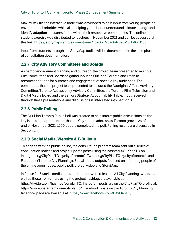Maximum City, the interactive toolkit was developed to gain input from young people on environmental priorities while also helping youth better understand climate change and identify adaption measures found within their respective communities. The online student exercise was distributed to teachers in November 2021 and can be accessed at this link: [https://storymaps.arcgis.com/stories/7b2c6d77bac64c3eb713f1af6d31cbff.](https://storymaps.arcgis.com/stories/7b2c6d77bac64c3eb713f1af6d31cbff)

Input from students through the StoryMap toolkit will be documented in the next phase of consultation documentation.

## <span id="page-16-0"></span>**2.2.7 City Advisory Committees and Boards**

As part of engagement planning and outreach, the project team presented to multiple City Committees and Boards to gather input on Our Plan Toronto and listen to recommendations for outreach and engagement of specific key audiences. The committees that the project team presented to included the Aboriginal Affairs Advisory Committee, Toronto Accessibility Advisory Committee, the Toronto Film, Television and Digital Media Board and the Seniors Strategy Accountability Table. Input received through these presentations and discussions is integrated into Section 3.

## <span id="page-16-1"></span>**2.2.8 Public Polling**

The Our Plan Toronto Public Poll was created to help inform public discussions on the key issues and opportunities that the City should address as Toronto grows. As of the end of November 2021, 1200 people completed the poll. Polling results are discussed in Section 5.

## <span id="page-16-2"></span>**2.2.9 Social Media, Website & E-Bulletin**

To engage with the public online, the consultation program team sent out a series of consultation notices and project update posts using the hashtag #OurPlanTO on Instagram (@CityPlanTO, @cityoftoronto), Twitter (@CityPlanTO, @cityoftoronto), and Facebook (Toronto City Planning). Social media outputs focused on informing people of the online open house, public poll, project video and StoryMap.

In Phase 2, 15 social media posts and threads were released. All City Planning tweets, as well as those from others using the project hashtag, are available at: https://twitter.com/hashtag/ourplanTO. Instagram posts are on the CityPlanTO profile at: https://www.instagram.com/cityplanto/. Facebook posts on the Toronto City Planning facebook page are available at: [https://www.facebook.com/CityPlanTO/.](https://www.facebook.com/CityPlanTO/)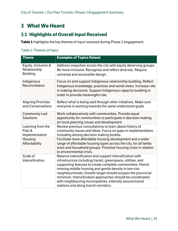# <span id="page-17-0"></span>**3 What We Heard**

# <span id="page-17-1"></span>**3.1 Highlights of Overall Input Received**

**Table 1** highlights the key themes of input received during Phase 2 engagement.

#### <span id="page-17-2"></span>Table 1: Themes of Input

| <b>Theme</b>                                           | <b>Examples of Topics Raised</b>                                                                                                                                                                                                                                                                                                                                                                                                                                                   |
|--------------------------------------------------------|------------------------------------------------------------------------------------------------------------------------------------------------------------------------------------------------------------------------------------------------------------------------------------------------------------------------------------------------------------------------------------------------------------------------------------------------------------------------------------|
| Equity, Inclusion &<br>Relationship<br><b>Building</b> | Address inequities across the city with equity deserving groups.<br>Be more inclusive. Recognize and reflect diversity. Require<br>universal and accessible design.                                                                                                                                                                                                                                                                                                                |
| Indigenous<br>Reconciliation                           | Focus on and support Indigenous relationship building. Reflect<br>Indigenous knowledge, practices and world views. Increase role<br>in making decisions. Support Indigenous capacity building in<br>order to provide meaningful role.                                                                                                                                                                                                                                              |
| <b>Aligning Priorities</b><br>and Conversations        | Reflect what is being said through other initiatives. Make sure<br>everyone is working towards the same understood goals.                                                                                                                                                                                                                                                                                                                                                          |
| Community-Led<br><b>Solutions</b>                      | Work collaboratively with communities. Provide equal<br>opportunity for communities to participate in decision making<br>on local planning issues and development.                                                                                                                                                                                                                                                                                                                 |
| Learning from the<br>Past &<br>Implementation          | Review previous consultations to learn about history of<br>community issues and ideas. Focus on gaps in implementation,<br>including among decision making bodies.                                                                                                                                                                                                                                                                                                                 |
| Housing<br>Affordability                               | Facilitate more affordable housing development and a wider<br>range of affordable housing types across the city, for all family<br>sizes and household groups. Prioritize housing crisis in relation<br>to environmental crisis.                                                                                                                                                                                                                                                   |
| Scale of<br>Intensification                            | Balance intensification and support intensification with<br>infrastructure including transit, greenspace, utilities, and<br>supporting features to create complete communities. Permit<br>missing middle housing and gentle density in low-rise<br>neighbourhoods. Growth target should surpass the provincial<br>minimum. Intensification approaches should be coordinated<br>with neighbouring municipalities. Intensify around transit<br>stations and along transit corridors. |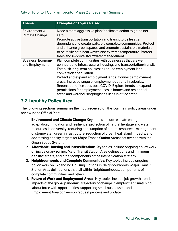| <b>Theme</b>                           | <b>Examples of Topics Raised</b>                                                                                                                                                                                                                                                                                                                                                                                                                                                                                            |
|----------------------------------------|-----------------------------------------------------------------------------------------------------------------------------------------------------------------------------------------------------------------------------------------------------------------------------------------------------------------------------------------------------------------------------------------------------------------------------------------------------------------------------------------------------------------------------|
| Environment &<br><b>Climate Change</b> | Need a more aggressive plan for climate action to get to net<br>zero.<br>Promote active transportation and transit to be less car<br>dependant and create walkable complete communities. Protect<br>and enhance green spaces and promote sustainable materials<br>to be resilient to heat waves and extreme temperature. Protect<br>trees and improve stormwater management.                                                                                                                                                |
| Business, Economy<br>and Employment    | Plan complete communities with businesses that are well<br>connected to infrastructure, housing, and transportation/transit.<br>Establish long-term policies to reduce employment land<br>conversion speculation.<br>Protect and expand employment lands. Connect employment<br>areas. Increase range of employment options in suburbs.<br>Reconsider office uses post COVID. Explore trends to expand<br>permissions for employment uses in homes and residential<br>areas and warehousing/logistics uses in office areas. |

# <span id="page-18-0"></span>**3.2 Input by Policy Area**

The following sections summarize the input received on the four main policy areas under review in the Official Plan:

- 1. **Environment and Climate Change:** Key topics include climate change adaptation, mitigation and resilience, protection of natural heritage and water resources, biodiversity, reducing consumption of natural resources, management of stormwater, green infrastructure, reduction of urban heat island impacts, and addressing density targets for Major Transit Station Areas that overlap with the Green Space System.
- 2. **Affordable Housing and Intensification:** Key topics include ongoing policy work on inclusionary zoning, Major Transit Station Area delineations and minimum density targets, and other components of the intensification strategy.
- 3. **Neighbourhoods and Complete Communities:** Key topics include ongoing policy work on Expanding Housing Options in Neighbourhoods, Major Transit Station Area delineations that fall within Neighbourhoods, components of complete communities, and others.
- 4. **Future of Work and Employment Areas:** Key topics include job growth trends, impacts of the global pandemic, trajectory of change in employment, matching labour force with opportunities, supporting small businesses, and the Employment Area conversion request process and update.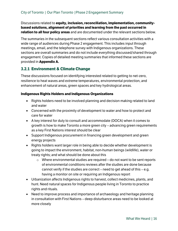#### Discussions related to **equity, inclusion, reconciliation, implementation, communitybased solutions, alignment of priorities and learning from the past occurred in relation to all four policy areas** and are documented under the relevant sections below.

The summaries in the subsequent sections reflect various consultation activities with a wide range of audiences during Phase 2 engagement. This includes input through meetings, email, and the telephone survey with Indigenous organizations. These sections are overall summaries and do not include everything discussed/shared through engagement. Copies of detailed meeting summaries that informed these sections are provided in **Appendix A.**

## <span id="page-19-0"></span>**3.2.1 Environment & Climate Change**

These discussions focused on identifying interested related to getting to net-zero, resilience to heat waves and extreme temperatures, environmental protection, and enhancement of natural areas, green spaces and key hydrological areas.

#### **Indigenous Rights Holders and Indigenous Organizations**

- Rights holders need to be involved planning and decision making related to land and water
- Concerned with the proximity of development to water and how to protect and care for water
- A key interest for duty to consult and accommodate (DOCA) when it comes to growth is how to make Toronto a more green city  $-$  advancing green requirements as a key First Nations interest should be clear
- Support Indigenous procurement in financing green development and green energy projects
- Rights holders want larger role in being able to decide whether development is going to impact the environment, habitat, non-human beings (wildlife), water or treaty rights; and what should be done about this
	- $\circ$  Where environmental studies are required do not want to be sent reports of environmental conditions reviews after the studies are done because cannot verify if the studies are correct – need to get ahead of this  $-$  e.g. having a monitor on site or requiring an Indigenous report
- Urbanization affects Indigenous rights to harvest, collect medicines, plants, and hunt. Need natural spaces for Indigenous people living in Toronto to practice rights and rituals.
- Need to improve process and importance of archaeology and heritage planning in consultation with First Nations – deep disturbance areas need to be looked at more closely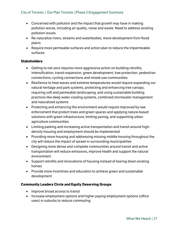- Concerned with pollution and the impact that growth may have in making pollution worse, including air quality, noise and waste. Need to address existing pollution issues
- Re-naturalize rivers, streams and waterbodies, move development from flood plains
- Require more permeable surfaces and action plan to reduce the impermeable surfaces

#### **Stakeholders**

- Getting to net-zero requires more aggressive action on building retrofits, intensification, transit expansion, green development, tree protection, pedestrian connections, cycling connections and mixed-use communities
- Resilience to heat waves and extreme temperatures would require expanding our natural heritage and park systems, protecting and enhancing tree canopy, requiring soft and permeable landscaping, and using sustainable building practices like deep water-cooling systems, combined stormwater management and naturalized systems
- Protecting and enhancing the environment would require improved by-law enforcement that protect trees and green spaces and applying nature-based solutions with green infrastructure, limiting paving, and supporting urban agriculture communities
- Limiting parking and increasing active transportation and transit around highdensity housing and employment should be implemented
- Providing more housing and addressing missing middle housing throughout the city will reduce the impact of sprawl in surrounding municipalities
- Designing more dense and complete communities around transit and active transportation will reduce emissions, improve health and support the natural environment
- Support retrofits and renovations of housing instead of tearing down existing homes
- Provide more incentives and education to achieve green and sustainable development

#### **Community Leaders Circle and Equity Deserving Groups**

- Improve broad access to transit
- Increase employment options and higher paying employment options (office uses) in suburbs to reduce commuting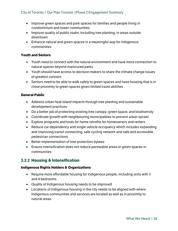- Improve green spaces and park spaces for families and people living in condominium and tower communities
- Improve quality of public realm, including tree planting, in areas outside downtown
- Enhance natural and green spaces in a meaningful way for Indigenous communities

#### **Youth and Seniors**

- Youth need to connect with the natural environment and have more connection to natural spaces beyond manicured parks
- Youth should have access to decision makers to share the climate change issues of greatest concern
- Seniors need to be able to walk safely to green spaces and have housing that is in close proximity to green spaces given limited travel abilities

#### **General Public**

- Address urban heat island impacts through tree planting and sustainable development practices
- Do a better job of protecting existing tree canopy, green space, and biodiversity
- Coordinate growth with neighbouring municipalities to prevent urban sprawl
- Explore programs and tools for home retrofits for homeowners and renters
- Reduce car dependency and single vehicle occupancy which includes expanding and improving transit connecting, safe cycling network and safe and accessible pedestrian connections
- Better implementation of tree protection bylaws
- Ensure intensification does not reduce permeable areas or green spaces in communities

## <span id="page-21-0"></span>**3.2.2 Housing & Intensification**

#### **Indigenous Rights Holders & Organizations**

- Require more affordable housing for Indigenous people, including units with 3 and 4 bedrooms
- Quality of Indigenous housing needs to be improved
- Locations of Indigenous housing in the city needs to be aligned with where Indigenous communities and services are located as well as in proximity to natural areas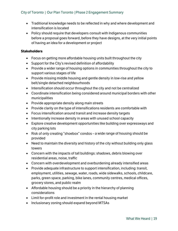- Traditional knowledge needs to be reflected in why and where development and intensification is located
- Policy should require that developers consult with Indigenous communities before a proposal goes forward, before they have designs, at the very initial points of having an idea for a development or project

#### **Stakeholders**

- Focus on getting more affordable housing units built throughout the city
- Support for the City's revised definition of affordability
- Provide a wider range of housing options in communities throughout the city to support various stages of life
- Provide missing middle housing and gentle density in low-rise and yellow belt/single detached neighbourhoods
- Intensification should occur throughout the city and not be centralized
- Coordinate intensification being considered around municipal borders with other municipalities
- Provide appropriate density along main streets
- Provide clarity on the type of intensifications residents are comfortable with
- Focus intensification around transit and increase density targets
- Intentionally increase density in areas with unused school capacity
- Explore creative development opportunities like building over expressways and city parking lots
- Risk of only creating "shoebox" condos  $-$  a wide range of housing should be provided
- Need to maintain the diversity and history of the city without building only glass towers
- Concern with the impacts of tall buildings: shadows, debris blowing over residential areas, noise, traffic
- Concern with overdevelopment and overburdening already intensified areas
- Provide adequate infrastructure to support intensification, including: transit, employment, utilities, sewage, water, roads, wide sidewalks, schools, childcare, parks, green space, parking, bike lanes, community centres, medical offices, grocery stores, and public realm
- Affordable housing should be a priority in the hierarchy of planning considerations
- Limit for-profit role and investment in the rental housing market
- Inclusionary zoning should expand beyond MTSAs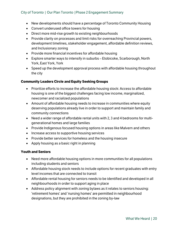- New developments should have a percentage of Toronto Community Housing
- Convert underused office towers for housing
- Direct more mid-rise growth to existing neighbourhoods
- Provide clarity on processes and limit risks for overreaching Provincial powers, development timelines, stakeholder engagement, affordable definition reviews, and Inclusionary zoning
- Provide more financial incentives for affordable housing
- Explore smarter ways to intensify in suburbs  $-$  Etobicoke, Scarborough, North York, East York, York
- Speed up the development approval process with affordable housing throughout the city

#### **Community Leaders Circle and Equity Seeking Groups**

- Prioritize efforts to increase the affordable housing stock: Access to affordable housing is one of the biggest challenges facing low income, marginalized, newcomer and racialized populations
- Amount of affordable housing needs to increase in communities where equity deserving populations already live in order to support and maintain family and community connections
- Need a wider range of affordable rental units with 2, 3 and 4 bedrooms for multigenerational homes and large families
- Provide Indigenous focused housing options in areas like Malvern and others
- Increase access to supportive housing services
- Provide better services for homeless and the housing insecure
- Apply housing as a basic right in planning

#### **Youth and Seniors**

- Need more affordable housing options in more communities for all populations including students and seniors
- Affordable housing stock needs to include options for recent graduates with entry level incomes that are connected to transit
- Affordable rental housing for seniors needs to be identified and developed in all neighbourhoods in order to support aging in place
- Address policy alignment with zoning bylaws as it relates to seniors housing: 'retirement homes' and 'nursing homes' are permitted in neighbourhood designations, but they are prohibited in the zoning by-law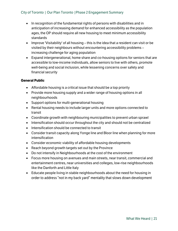- In recognition of the fundamental rights of persons with disabilities and in anticipation of increasing demand for enhanced accessibility as the population ages, the OP should require all new housing to meet minimum accessibility standards
- Improve 'Visitability' of all housing  $-$  this is the idea that a resident can visit or be visited by their neighbours without encountering accessibility problems increasing challenge for aging population
- Expand intergenerational, home share and co-housing options for seniors that are accessible to low-income individuals, allow seniors to live with others, promote well-being and social inclusion, while lessening concerns over safety and financial security

#### **General Public**

- Affordable housing is a critical issue that should be a top priority
- Provide more housing supply and a wider range of housing options in all neighbourhoods
- Support options for multi-generational housing
- Rental housing needs to include larger units and more options connected to transit
- Coordinate growth with neighbouring municipalities to prevent urban sprawl
- Intensification should occur throughout the city and should not be centralized
- Intensification should be connected to transit
- Consider transit capacity along Yonge line and Bloor line when planning for more intensification
- Consider economic viability of affordable housing developments
- Reach beyond growth targets set out by the Province
- Do not intensify in Neighbourhoods at the cost of the environment
- Focus more housing on avenues and main streets, near transit, commercial and entertainment centres, near universities and colleges, low-rise neighbourhoods like the Danforth and Little Italy
- Educate people living in stable neighbourhoods about the need for housing in order to address "not in my back yard" mentality that slows down development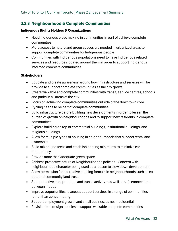## <span id="page-25-0"></span>**3.2.3 Neighbourhood & Complete Communities**

#### **Indigenous Rights Holders & Organizations**

- Need Indigenous place making in communities in part of achieve complete communities
- More access to nature and green spaces are needed in urbanized areas to support complete communities for Indigenous people
- Communities with Indigenous populations need to have Indigenous related services and resources located around them in order to support Indigenous informed complete communities

#### **Stakeholders**

- Educate and create awareness around how infrastructure and services will be provide to support complete communities as the city grows
- Create walkable and complete communities with transit, service centres, schools and parks in all areas of the city
- Focus on achieving complete communities outside of the downtown core
- Cycling needs to be part of complete communities
- Build infrastructure before building new developments in order to lessen the burden of growth on neighbourhoods and to support new residents in complete communities
- Explore building on top of commercial buildings, institutional buildings, and religious buildings
- Allow for multiple types of housing in neighbourhoods that support rental and ownership
- Build mixed-use areas and establish parking minimums to minimize car dependency
- Provide more than adequate green space
- Address protective nature of Neighbourhoods policies Concern with neighbourhood character being used as a reason to slow down development
- Allow permission for alternative housing formats in neighbourhoods such as coops, and community land trusts
- Support active transportation and transit activity  $-$  as well as safe connections between modes
- Improve opportunities to access support services in a range of communities rather than concentrating
- Support employment growth and small businesses near residential
- Revisit urban design policies to support walkable complete communities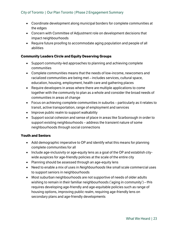- Coordinate development along municipal borders for complete communities at the edges
- Concern with Committee of Adjustment role on development decisions that impact neighbourhoods
- Require future proofing to accommodate aging population and people of all abilities

#### **Community Leaders Circle and Equity Deserving Groups**

- Support community-led approaches to planning and achieving complete communities
- Complete communities means that the needs of low-income, newcomers and racialized communities are being met - includes services, cultural space, education, housing, employment, health care and gathering places
- Require developers in areas where there are multiple applications to come together with the community to plan as a whole and consider the broad needs of communities in areas of change
- $\bullet$  Focus on achieving complete communities in suburbs particularly as it relates to transit, active transportation, range of employment and services
- Improve public realm to support walkability
- Support social cohesion and sense of place in areas like Scarborough in order to support existing neighbourhoods – address the transient nature of some neighbourhoods through social connections

#### **Youth and Seniors**

- Add demographic imperative to OP and identify what this means for planning complete communities for all
- Include age-inclusivity or age-equity lens as a goal of the OP and establish citywide auspices for age-friendly policies at the scale of the entire city
- Planning should be assessed through an age-equity lens
- Need to enable a mix of uses in *Neighbourhoods* like small scale commercial uses to support seniors in neighbourhoods
- Most suburban neighbourhoods are not supportive of needs of older adults wishing to remain in their familiar neighbourhoods ('aging in community') – this requires developing age-friendly and age-equitable policies such as range of housing options, improving public realm, requiring age-friendly lens on secondary plans and age-friendly developments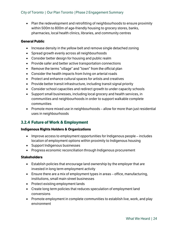• Plan the redevelopment and retrofitting of neighbourhoods to ensure proximity within 500m to 800m of age-friendly housing to grocery stores, banks, pharmacies, local health clinics, libraries, and community centres

#### **General Public**

- Increase density in the yellow belt and remove single detached zoning
- Spread growth evenly across all neighbourhoods
- Consider better design for housing and public realm
- Provide safer and better active transportation connections
- Remove the terms "village" and "town" from the official plan
- Consider the health impacts from living on arterial roads
- Protect and enhance cultural spaces for artists and creatives
- Provide better transit infrastructure, including transit signal priority
- Consider school capacities and redirect growth to under capacity schools
- Support small businesses, including local grocery and health services, in communities and neighbourhoods in order to support walkable complete communities
- Promote more mixed use in neighbourhoods  $-$  allow for more than just residential uses in neighbourhoods

## <span id="page-27-0"></span>**3.2.4 Future of Work & Employment**

#### **Indigenous Rights Holders & Organizations**

- $\bullet$  Improve access to employment opportunities for Indigenous people includes location of employment options within proximity to Indigenous housing
- Support Indigenous businesses
- Progress economic reconciliation through Indigenous procurement

#### **Stakeholders**

- Establish policies that encourage land ownership by the employer that are invested in long term employment activity
- Ensure there are a mix of employment types in areas  $-$  office, manufacturing, institutions, small main street businesses
- Protect existing employment lands
- Create long term policies that reduces speculation of employment land conversions
- Promote employment in complete communities to establish live, work, and play environment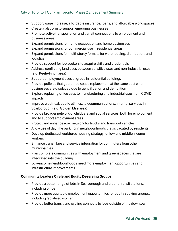- Support wage increase, affordable insurance, loans, and affordable work spaces
- Create a platform to support emerging businesses
- Promote active transportation and transit connections to employment and business areas
- Expand permissions for home occupation and home businesses
- Expand permissions for commercial use in residential areas
- Expand permissions for multi-storey formats for warehousing, distribution, and logistics
- Provide support for job seekers to acquire skills and credentials
- Address conflicting land uses between sensitive uses and non-industrial uses (e.g. Keele-Finch area)
- Support employment uses at grade in residential buildings
- Provide policies that quarantee space replacement at the same cost when businesses are displaced due to gentrification and demolition
- Explore replacing office uses to manufacturing and industrial uses from COVID impacts
- Improve electrical, public utilities, telecommunications, internet services in Scarborough (e.g. Golden Mile area)
- Provide broader network of childcare and social services, both for employment and to support employment areas
- Protect and enhance road network for trucks and transport vehicles
- Allow use of daytime parking in neighbourhoods that is vacated by residents
- Develop dedicated workforce housing strategy for low and middle income workers
- Enhance transit fare and service integration for commuters from other municipalities
- Plan complete communities with employment and greenspaces that are integrated into the building
- Low-income neighbourhoods need more employment opportunities and infrastructure improvements

#### **Community Leaders Circle and Equity Deserving Groups**

- Provide a better range of jobs in Scarborough and around transit stations, including office
- Provide more equitable employment opportunities for equity seeking groups, including racialized women
- Provide better transit and cycling connects to jobs outside of the downtown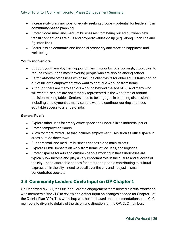- Increase city planning jobs for equity seeking groups potential for leadership in community-based planning
- Protect local small and medium businesses from being priced out when new transit connections are built and property values go up (e.g., along Finch line and Eglinton line)
- Focus less on economic and financial prosperity and more on happiness and well-being

#### **Youth and Seniors**

- Support youth employment opportunities in suburbs (Scarborough, Etobicoke) to reduce commuting times for young people who are also balancing school
- Permit at-home office uses which include client visits for older adults transitioning out of full-time employment who want to continue working from home
- Although there are many seniors working beyond the age of 65, and many who will want to, seniors are not strongly represented in the workforce or around decision-making tables. Seniors need to be engaged in planning discussions, including employment as many seniors want to continue working and need equitable access to a range of jobs

#### **General Public**

- Explore other uses for empty office space and underutilized industrial parks
- Protect employment lands
- Allow for more mixed use that includes employment uses such as office space in areas outside downtown
- Support small and medium business spaces along main streets
- Explore COVID impacts on work from home, office uses, and logistics
- Protect spaces for arts and culture people working in these industries are typically low income and play a very important role in the culture and success of the city – need affordable spaces for artists and people contributing to cultural expression in the city  $-$  need to be all over the city and not just in small concentrated pockets

# <span id="page-29-0"></span>**3.3 Community Leaders Circle Input on OP Chapter 1**

On December 9 2021, the Our Plan Toronto engagement team hosted a virtual workshop with members of the CLC to review and gather input on changes needed for Chapter 1 of the Official Plan (OP). This workshop was hosted based on recommendations from CLC members to dive into details of the vision and direction for the OP. CLC members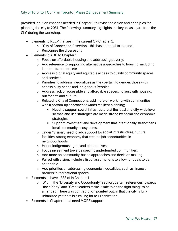provided input on changes needed in Chapter 1 to revise the vision and principles for planning the city to 2051. The following summary highlights the key ideas heard from the CLC during the workshop.

- Elements to KEEP that are in the current OP Chapter 1:
	- $\circ$  "City of Connections" section this has potential to expand.
	- o Recognize the diverse city
- Elements to ADD to Chapter 1:
	- o Focus on affordable housing and addressing poverty.
	- o Add reference to supporting alternative approaches to housing, including land trusts, co-ops, etc.
	- o Address digital equity and equitable access to quality community spaces and services.
	- $\circ$  Priorities to address inequalities as they pertain to gender, those with accessibility needs and Indigenous Peoples.
	- o Address lack of accessible and affordable spaces, not just with housing, but for arts and culture.
	- $\circ$  Related to City of Connections, add more on working with communities with a bottom-up approach towards resilient planning;
		- Need to support social infrastructure at the local and city-wide level so that land use strategies are made strong by social and economic strategies.
		- Support investment and development that intentionally strengthens local community ecosystems.
	- $\circ$  Under "Vision", need to add support for social infrastructure, cultural facilities, strong economy that creates job opportunities in neighbourhoods.
	- o Honor Indigenous rights and perspectives.
	- o Focus investment towards specific underfunded communities.
	- o Add more on community-based approaches and decision making.
	- $\circ$  Paired with vision, include a list of assumptions to allow for goals to be actionable.
	- o Add priorities on addressing economic inequalities, such as financial barriers to recreational spaces.
- Elements to have LESS of in Chapter 1
	- Within the "Diversity and Opportunity" section, certain references towards o "the elderly" and "Great leaders make it safe to do the right thing" to be amended. There was contradiction pointed out, in that the city is fully urbanized yet there is a calling for re-urbanization.
- Elements in Chapter 1 that need MORE support: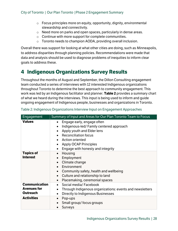- $\circ$  Focus principles more on equity, opportunity, dignity, environmental stewardship and connectivity.
- o Need more on parks and open spaces, particularly in dense areas.
- $\circ$  Continue with more support for complete communities.
- $\circ$  Toronto needs to champion AODA, providing overall inclusion.

Overall there was support for looking at what other cities are doing, such as Minneapolis, to address disparities through planning policies. Recommendations were made that data and analysis should be used to diagnose problems of inequities to inform clear goals to address these.

# <span id="page-31-0"></span>**4 Indigenous Organizations Survey Results**

Throughout the months of August and September, the Dillon Consulting engagement team conducted a series of interviews with 12 interested Indigenous organizations throughout Toronto to determine the best approach to community engagement. This work was led by an Indigenous facilitator and planner. **Table 2** provides a summary chart of what we heard during the interviews. This input is being used to inform and guide ongoing engagement of Indigenous people, businesses and organizations in Toronto.

| Engagement                                                    | Summary of Input and Areas for Our Plan Toronto Team to Focus                                                                                                                                                                                                                                                   |
|---------------------------------------------------------------|-----------------------------------------------------------------------------------------------------------------------------------------------------------------------------------------------------------------------------------------------------------------------------------------------------------------|
| <b>Values</b>                                                 | Engage early, engage often<br>$\bullet$<br>Indigenous-led/Family centered approach<br>$\bullet$<br>Apply youth and Elder lens<br>$\bullet$<br><b>Reconciliation focus</b><br><b>Action oriented</b><br>$\bullet$<br><b>Apply OCAP Principles</b><br>$\bullet$<br>Engage with honesty and integrity<br>$\bullet$ |
| <b>Topics of</b><br><b>Interest</b>                           | Housing<br>$\bullet$<br>Employment<br>$\bullet$<br>Climate change<br>Environment<br>Community safety, health and wellbeing<br>$\bullet$<br>Culture and relationship to land<br>$\bullet$<br>Placemaking, ceremonial spaces<br>$\bullet$                                                                         |
| <b>Communication</b><br><b>Avenues for</b><br><b>Outreach</b> | Social media/Facebook<br>$\bullet$<br>Through Indigenous organizations: events and newsletters<br>$\bullet$<br>Directly to Indigenous Businesses<br>$\bullet$                                                                                                                                                   |
| <b>Activities</b>                                             | Pop-ups<br>$\bullet$<br>Small group/ focus groups<br><b>Surveys</b>                                                                                                                                                                                                                                             |

<span id="page-31-1"></span>

| Table 2: Indigenous Organizations Interview Input on Engagement Approaches |  |  |  |
|----------------------------------------------------------------------------|--|--|--|
|                                                                            |  |  |  |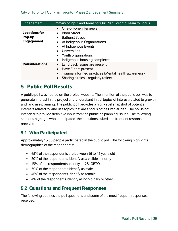| Engagement            | Summary of Input and Areas for Our Plan Toronto Team to Focus |
|-----------------------|---------------------------------------------------------------|
|                       | One-on-one interviews                                         |
| <b>Locations for</b>  | <b>Bloor Street</b>                                           |
| Pop-up                | <b>Bathurst Street</b>                                        |
| <b>Engagement</b>     | At Indigenous Organizations<br>$\bullet$                      |
|                       | At Indigenous Events                                          |
|                       | <b>Universities</b>                                           |
|                       | Youth organizations                                           |
|                       | Indigenous housing complexes<br>$\bullet$                     |
| <b>Considerations</b> | Land back issues are present                                  |
|                       | Have Elders present                                           |
|                       | Trauma informed practices (Mental health awareness)           |
|                       | Sharing circles – regularly reflect                           |

# <span id="page-32-0"></span>**5 Public Poll Results**

A public poll was hosted on the project website. The intention of the public poll was to generate interest in the project and understand initial topics of interest related to growth and land use planning. The public poll provides a high-level snapshot of potential interests related to land use topics that are a focus of the Official Plan. The poll is not intended to provide definitive input from the public on planning issues. The following sections highlight who participated, the questions asked and frequent responses received.

# <span id="page-32-1"></span>**5.1 Who Participated**

Approximately 1,200 people participated in the public poll. The following highlights demographics of the respondents:

- 65% of the respondents are between 16 to 45 years old
- 20% of the respondents identify as a visible minority
- 15% of the respondents identify as 2SLGBTQ+
- 50% of the respondents identify as male
- 46% of the respondents identify as female
- 4% of the respondents identify as non-binary or other

# <span id="page-32-2"></span>**5.2 Questions and Frequent Responses**

The following outlines the poll questions and some of the most frequent responses received.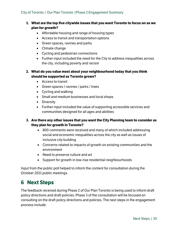- **1. What are the top five citywide issues that you want Toronto to focus on as we plan for growth?**
	- Affordable housing and range of housing types
	- Access to transit and transportation options
	- Green spaces, ravines and parks
	- Climate change
	- Cycling and pedestrian connections
	- Further input included the need for the City to address inequalities across the city, including poverty and racism

#### **2. What do you value most about your neighbourhood today that you think should be supported as Toronto grows?**

- Access to transit
- Green spaces / ravines / parks / trees
- Cycling and walking
- Small and medium businesses and local shops
- Diversity
- Further input included the value of supporting accessible services and communities designed for all ages and abilities

#### **3. Are there any other issues that you want the City Planning team to consider as they plan for growth in Toronto?**

- 800 comments were received and many of which included addressing social and economic inequalities across the city as well as issues of inclusive city building
- Concerns related to impacts of growth on existing communities and the environment
- Need to preserve culture and art
- Support for growth in low-rise residential neighbourhoods

Input from the public poll helped to inform the content for consultation during the October 2021 public meetings.

# <span id="page-33-0"></span>**6 Next Steps**

The feedback received during Phase 2 of Our Plan Toronto is being used to inform draft policy directions and draft policies. Phase 3 of the consultation will be focused on consulting on the draft policy directions and policies. The next steps in the engagement process include: